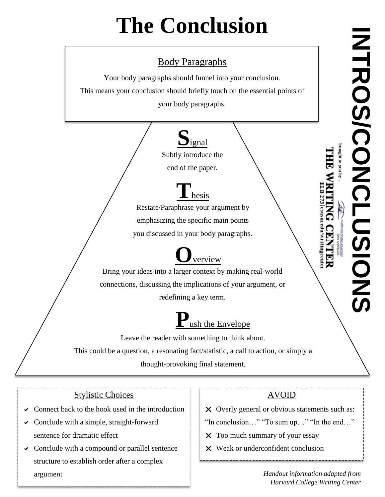# **The Conclusion**

#### Body Paragraphs

Your body paragraphs should funnel into your conclusion.

This means your conclusion should briefly touch on the essential points of

your body paragraphs.



Subtly introduce the

end of the paper.

### **T**hesis

Restate/Paraphrase your argument by emphasizing the specific main points you discussed in your body paragraphs.

## **O**verview

Bring your ideas into a larger context by making real-world connections, discussing the implications of your argument, or redefining a key term.

## ush the Envelope

Leave the reader with something to think about. This could be a question, a resonating fact/statistic, a call to action, or simply a thought-provoking final statement.

#### Stylistic Choices

- Connect back to the hook used in the introduction
- $\vee$  Conclude with a simple, straight-forward sentence for dramatic effect
- Conclude with a compound or parallel sentence structure to establish order after a complex argument *Handout information adapted from*

#### AVOID

X Overly general or obvious statements such as:

- "In conclusion…" "To sum up…" "In the end…"
- X Too much summary of your essay
- Weak or underconfident conclusion

Farvard College Writing Center<br>
Harvard College Writing Center<br>
Harvard College Writing Center<br>
Harvard College Writing Center<br>
Harvard College Writing Center